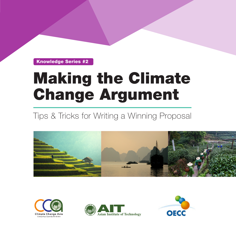Knowledge Series #2

## Making the Climate Change Argument

## Tips & Tricks for Writing a Winning Proposal







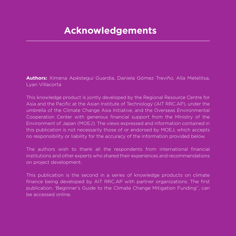## **Acknowledgements**

**Authors:** Ximena Apéstegui Guardia, Daniela Gómez Treviño, Alla Metelitsa, Lyan Villacorta

This knowledge product is jointly developed by the Regional Resource Centre for Asia and the Pacific at the Asian Institute of Technology (AIT RRC.AP), under the umbrella of the Climate Change Asia Initiative, and the Overseas Environmental Cooperation Center with generous financial support from the Ministry of the Environment of Japan (MOEJ). The views expressed and information contained in this publication is not necessarily those of or endorsed by MOEJ, which accepts no responsibility or liability for the accuracy of the information provided below.

The authors wish to thank all the respondents from international financial institutions and other experts who shared their experiences and recommendations on project development.

This publication is the second in a series of knowledge products on climate finance being developed by AIT RRC.AP with partner organizations. The first publication, 'Beginner's Guide to the Climate Change Mitigation Funding'', can be accessed online.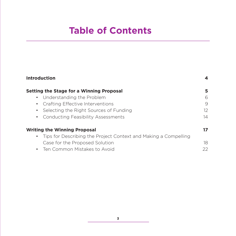## **Table of Contents**

| Introduction                                                      | 4  |
|-------------------------------------------------------------------|----|
| <b>Setting the Stage for a Winning Proposal</b>                   | 5  |
| • Understanding the Problem                                       | 6  |
| • Crafting Effective Interventions                                | 9  |
| Selecting the Right Sources of Funding<br>$\bullet$               | 12 |
| <b>Conducting Feasibility Assessments</b><br>$\bullet$            | 14 |
| <b>Writing the Winning Proposal</b>                               | 17 |
| • Tips for Describing the Project Context and Making a Compelling |    |
| Case for the Proposed Solution                                    | 18 |
| • Ten Common Mistakes to Avoid                                    | 22 |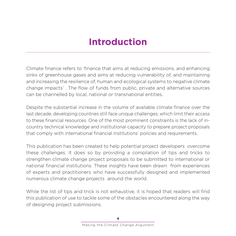## **Introduction**

Climate finance refers to 'finance that aims at reducing emissions, and enhancing sinks of greenhouse gases and aims at reducing vulnerability of, and maintaining and increasing the resilience of, human and ecological systems to negative climate change impacts' . The flow of funds from public, private and alternative sources can be channelled by local, national or transnational entities.

Despite the substantial increase in the volume of available climate finance over the last decade, developing countries still face unique challenges, which limit their access to these financial resources. One of the most prominent constraints is the lack of incountry technical knowledge and institutional capacity to prepare project proposals that comply with international financial institutions' policies and requirements.

This publication has been created to help potential project developers overcome these challenges. It does so by providing a compilation of tips and tricks to strengthen climate change project proposals to be submitted to international or national financial institutions. These insights have been drawn from experiences of experts and practitioners who have successfully designed and implemented numerous climate change projects around the world.

While the list of tips and trick is not exhaustive, it is hoped that readers will find this publication of use to tackle some of the obstacles encountered along the way of designing project submissions.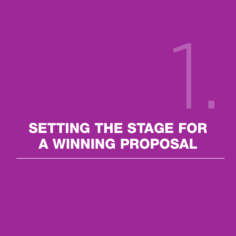# SETTING THE STAGE FOR A WINNING PROPOSAL 1.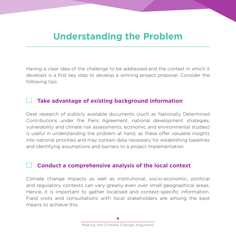### **Understanding the Problem**

Having a clear idea of the challenge to be addressed and the context in which it develops is a first key step to develop a winning project proposal. Consider the following tips:

#### **Take advantage of existing background information**

Desk research of publicly available documents (such as Nationally Determined Contributions under the Paris Agreement, national development strategies, vulnerability and climate risk assessments, economic and environmental studies) is useful in understanding the problem at hand, as these offer valuable insights into national priorities and may contain data necessary for establishing baselines and identifying assumptions and barriers to a project implementation.

#### **Conduct a comprehensive analysis of the local context**

Climate change impacts as well as institutional, socio-economic, political and regulatory contexts can vary greatly even over small geographical areas. Hence, it is important to gather localised and context-specific information. Field visits and consultations with local stakeholders are among the best means to achieve this.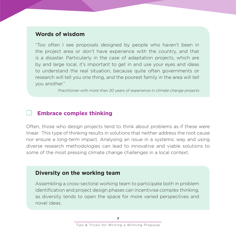#### **Words of wisdom**

"Too often I see proposals designed by people who haven't been in the project area or don't have experience with the country, and that is a disaster. Particularly in the case of adaptation projects, which are by and large local, it's important to get in and use your eyes and ideas to understand the real situation, because quite often governments or research will tell you one thing, and the poorest family in the area will tell you another."

Practitioner with more than 20 years of experience in climate change projects

#### **Embrace complex thinking**

Often, those who design projects tend to think about problems as if these were linear. This type of thinking results in solutions that neither address the root cause nor ensure a long-term impact. Analysing an issue in a systemic way and using diverse research methodologies can lead to innovative and viable solutions to some of the most pressing climate change challenges in a local context.

#### **Diversity on the working team**

Assembling a cross-sectoral working team to participate both in problem identification and project design phases can incentivise complex thinking, as diversity tends to open the space for more varied perspectives and novel ideas.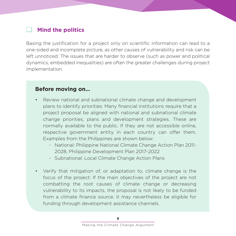#### **Mind the politics**

Basing the justification for a project only on scientific information can lead to a one-sided and incomplete picture, as other causes of vulnerability and risk can be left unnoticed. The issues that are harder to observe (such as power and political dynamics, embedded inequalities) are often the greater challenges during project implementation.

#### **Before moving on…**

- Review national and subnational climate change and development plans to identify priorities: Many financial institutions require that a project proposal be aligned with national and subnational climate change priorities, plans and development strategies. These are normally available to the public. If they are not accessible online, respective government entity in each country can offer them. Examples from the Philippines are shown below:
	- National: Philippine National Climate Change Action Plan 2011- 2028, Philippine Development Plan 2017-2022
	- Subnational: Local Climate Change Action Plans
- Verify that mitigation of, or adaptation to, climate change is the focus of the project: If the main objectives of the project are not combatting the root causes of climate change or decreasing vulnerability to its impacts, the proposal is not likely to be funded from a climate finance source. It may nevertheless be eligible for funding through development assistance channels.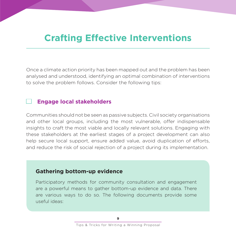### **Crafting Effective Interventions**

Once a climate action priority has been mapped out and the problem has been analysed and understood, identifying an optimal combination of interventions to solve the problem follows. Consider the following tips:

#### **Engage local stakeholders**

Communities should not be seen as passive subjects. Civil society organisations and other local groups, including the most vulnerable, offer indispensable insights to craft the most viable and locally relevant solutions. Engaging with these stakeholders at the earliest stages of a project development can also help secure local support, ensure added value, avoid duplication of efforts, and reduce the risk of social rejection of a project during its implementation.

#### **Gathering bottom-up evidence**

Participatory methods for community consultation and engagement are a powerful means to gather bottom-up evidence and data. There are various ways to do so. The following documents provide some useful ideas: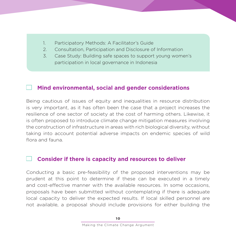- 1. Participatory Methods: A Facilitator's Guide
- 2. Consultation, Participation and Disclosure of Information
- 3. Case Study: Building safe spaces to support young women's participation in local governance in Indonesia

#### **Mind environmental, social and gender considerations**

Being cautious of issues of equity and inequalities in resource distribution is very important, as it has often been the case that a project increases the resilience of one sector of society at the cost of harming others. Likewise, it is often proposed to introduce climate change mitigation measures involving the construction of infrastructure in areas with rich biological diversity, without taking into account potential adverse impacts on endemic species of wild flora and fauna.

#### **Consider if there is capacity and resources to deliver**

Conducting a basic pre-feasibility of the proposed interventions may be prudent at this point to determine if these can be executed in a timely and cost-effective manner with the available resources. In some occasions, proposals have been submitted without contemplating if there is adequate local capacity to deliver the expected results. If local skilled personnel are not available, a proposal should include provisions for either building the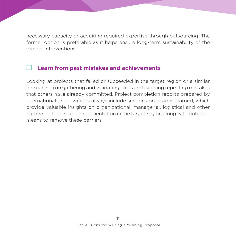necessary capacity or acquiring required expertise through outsourcing. The former option is preferable as it helps ensure long-term sustainability of the project interventions.

#### **Learn from past mistakes and achievements**

Looking at projects that failed or succeeded in the target region or a similar one can help in gathering and validating ideas and avoiding repeating mistakes that others have already committed. Project completion reports prepared by international organizations always include sections on lessons learned, which provide valuable insights on organizational, managerial, logistical and other barriers to the project implementation in the target region along with potential means to remove these barriers.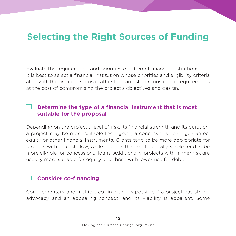## **Selecting the Right Sources of Funding**

Evaluate the requirements and priorities of different financial institutions It is best to select a financial institution whose priorities and eligibility criteria align with the project proposal rather than adjust a proposal to fit requirements at the cost of compromising the project's objectives and design.

#### **Determine the type of a financial instrument that is most suitable for the proposal**

Depending on the project's level of risk, its financial strength and its duration, a project may be more suitable for a grant, a concessional loan, guarantee, equity or other financial instruments. Grants tend to be more appropriate for projects with no cash flow, while projects that are financially viable tend to be more eligible for concessional loans. Additionally, projects with higher risk are usually more suitable for equity and those with lower risk for debt.

#### **Consider co-financing**

Complementary and multiple co-financing is possible if a project has strong advocacy and an appealing concept, and its viability is apparent. Some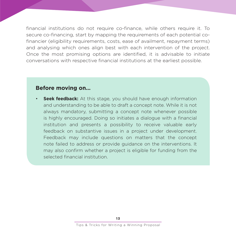financial institutions do not require co-finance, while others require it. To secure co-financing, start by mapping the requirements of each potential cofinancier (eligibility requirements, costs, ease of availment, repayment terms) and analysing which ones align best with each intervention of the project. Once the most promising options are identified, it is advisable to initiate conversations with respective financial institutions at the earliest possible.

#### **Before moving on…**

**Seek feedback:** At this stage, you should have enough information and understanding to be able to draft a concept note. While it is not always mandatory, submitting a concept note whenever possible is highly encouraged. Doing so initiates a dialogue with a financial institution and presents a possibility to receive valuable early feedback on substantive issues in a project under development. Feedback may include questions on matters that the concept note failed to address or provide guidance on the interventions. It may also confirm whether a project is eligible for funding from the selected financial institution.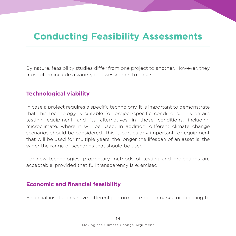## **Conducting Feasibility Assessments**

By nature, feasibility studies differ from one project to another. However, they most often include a variety of assessments to ensure:

#### **Technological viability**

In case a project requires a specific technology, it is important to demonstrate that this technology is suitable for project-specific conditions. This entails testing equipment and its alternatives in those conditions, including microclimate, where it will be used. In addition, different climate change scenarios should be considered. This is particularly important for equipment that will be used for multiple years: the longer the lifespan of an asset is, the wider the range of scenarios that should be used.

For new technologies, proprietary methods of testing and projections are acceptable, provided that full transparency is exercised.

#### **Economic and financial feasibility**

Financial institutions have different performance benchmarks for deciding to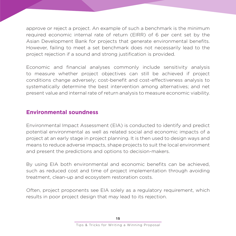approve or reject a project. An example of such a benchmark is the minimum required economic internal rate of return (EIRR) of 6 per cent set by the Asian Development Bank for projects that generate environmental benefits. However, failing to meet a set benchmark does not necessarily lead to the project rejection if a sound and strong justification is provided.

Economic and financial analyses commonly include sensitivity analysis to measure whether project objectives can still be achieved if project conditions change adversely; cost-benefit and cost-effectiveness analysis to systematically determine the best intervention among alternatives; and net present value and internal rate of return analysis to measure economic viability.

#### **Environmental soundness**

Environmental Impact Assessment (EIA) is conducted to identify and predict potential environmental as well as related social and economic impacts of a project at an early stage in project planning. It is then used to design ways and means to reduce adverse impacts, shape projects to suit the local environment and present the predictions and options to decision-makers.

By using EIA both environmental and economic benefits can be achieved, such as reduced cost and time of project implementation through avoiding treatment, clean-up and ecosystem restoration costs.

Often, project proponents see EIA solely as a regulatory requirement, which results in poor project design that may lead to its rejection.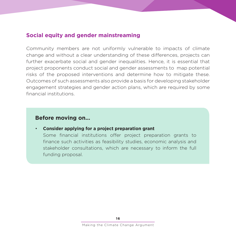#### **Social equity and gender mainstreaming**

Community members are not uniformly vulnerable to impacts of climate change and without a clear understanding of these differences, projects can further exacerbate social and gender inequalities. Hence, it is essential that project proponents conduct social and gender assessments to map potential risks of the proposed interventions and determine how to mitigate these. Outcomes of such assessments also provide a basis for developing stakeholder engagement strategies and gender action plans, which are required by some financial institutions.

#### **Before moving on…**

• **Consider applying for a project preparation grant**

Some financial institutions offer project preparation grants to finance such activities as feasibility studies, economic analysis and stakeholder consultations, which are necessary to inform the full funding proposal.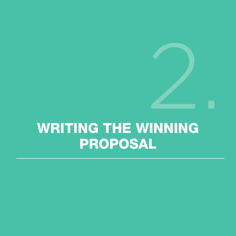# WRITING THE WINNING PROPOSAL 2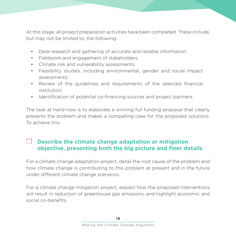At this stage, all project preparation activities have been completed. These include, but may not be limited to, the following:

- Desk research and gathering of accurate and reliable information;
- Fieldwork and engagement of stakeholders;
- Climate risk and vulnerability assessments;
- Feasibility studies, including environmental, gender and social impact assessments;
- Review of the guidelines and requirements of the selected financial institution;
- Identification of potential co-financing sources and project partners.

The task at hand now is to elaborate a winning full funding proposal that clearly presents the problem and makes a compelling case for the proposed solutions. To achieve this:

#### **Describe the climate change adaptation or mitigation objective, presenting both the big picture and finer details**

For a climate change adaptation project, detail the root cause of the problem and how climate change is contributing to this problem at present and in the future under different climate change scenarios.

For a climate change mitigation project, explain how the proposed interventions will result in reduction of greenhouse gas emissions, and highlight economic and social co-benefits.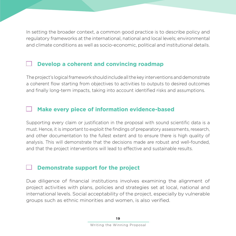In setting the broader context, a common good practice is to describe policy and regulatory frameworks at the international, national and local levels; environmental and climate conditions as well as socio-economic, political and institutional details.

#### **Develop a coherent and convincing roadmap**

The project's logical framework should include all the key interventions and demonstrate a coherent flow starting from objectives to activities to outputs to desired outcomes and finally long-term impacts, taking into account identified risks and assumptions.

#### **Make every piece of information evidence-based**

Supporting every claim or justification in the proposal with sound scientific data is a must. Hence, it is important to exploit the findings of preparatory assessments, research, and other documentation to the fullest extent and to ensure there is high quality of analysis. This will demonstrate that the decisions made are robust and well-founded, and that the project interventions will lead to effective and sustainable results.

#### **Demonstrate support for the project**

Due diligence of financial institutions involves examining the alignment of project activities with plans, policies and strategies set at local, national and international levels. Social acceptability of the project, especially by vulnerable groups such as ethnic minorities and women, is also verified.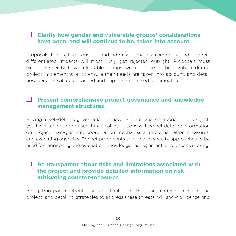#### **Clarify how gender and vulnerable groups' considerations have been, and will continue to be, taken into account**

Proposals that fail to consider and address climate vulnerability and genderdifferentiated impacts will most likely get rejected outright. Proposals must explicitly specify how vulnerable groups will continue to be involved during project implementation to ensure their needs are taken into account, and detail how benefits will be enhanced and impacts minimised or mitigated.

#### **Present comprehensive project governance and knowledge management structures**

Having a well-defined governance framework is a crucial component of a project, yet it is often not prioritised. Financial institutions will expect detailed information on project management, coordination mechanisms, implementation measures, and executing agencies. Project proponents should also specify approaches to be used for monitoring and evaluation, knowledge management, and lessons sharing.

#### **Be transparent about risks and limitations associated with the project and provide detailed information on riskmitigating counter-measures**

Being transparent about risks and limitations that can hinder success of the project, and detailing strategies to address these threats, will show diligence and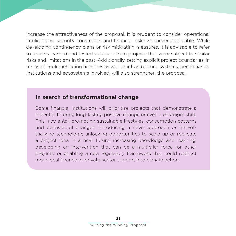increase the attractiveness of the proposal. It is prudent to consider operational implications, security constraints and financial risks whenever applicable. While developing contingency plans or risk mitigating measures, it is advisable to refer to lessons learned and tested solutions from projects that were subject to similar risks and limitations in the past. Additionally, setting explicit project boundaries, in terms of implementation timelines as well as infrastructure, systems, beneficiaries, institutions and ecosystems involved, will also strengthen the proposal.

#### **In search of transformational change**

Some financial institutions will prioritise projects that demonstrate a potential to bring long-lasting positive change or even a paradigm shift. This may entail promoting sustainable lifestyles, consumption patterns and behavioural changes; introducing a novel approach or first-ofthe-kind technology; unlocking opportunities to scale up or replicate a project idea in a near future; increasing knowledge and learning; developing an intervention that can be a multiplier force for other projects; or enabling a new regulatory framework that could redirect more local finance or private sector support into climate action.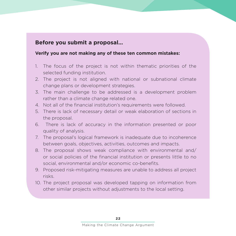#### **Before you submit a proposal…**

#### **Verify you are not making any of these ten common mistakes:**

- 1. The focus of the project is not within thematic priorities of the selected funding institution.
- 2. The project is not aligned with national or subnational climate change plans or development strategies.
- 3. The main challenge to be addressed is a development problem rather than a climate change related one.
- 4. Not all of the financial institution's requirements were followed.
- 5. There is lack of necessary detail or weak elaboration of sections in the proposal.
- 6. There is lack of accuracy in the information presented or poor quality of analysis.
- 7. The proposal's logical framework is inadequate due to incoherence between goals, objectives, activities, outcomes and impacts.
- 8. The proposal shows weak compliance with environmental and/ or social policies of the financial institution or presents little to no social, environmental and/or economic co-benefits.
- 9. Proposed risk-mitigating measures are unable to address all project risks.
- 10. The project proposal was developed tapping on information from other similar projects without adjustments to the local setting.